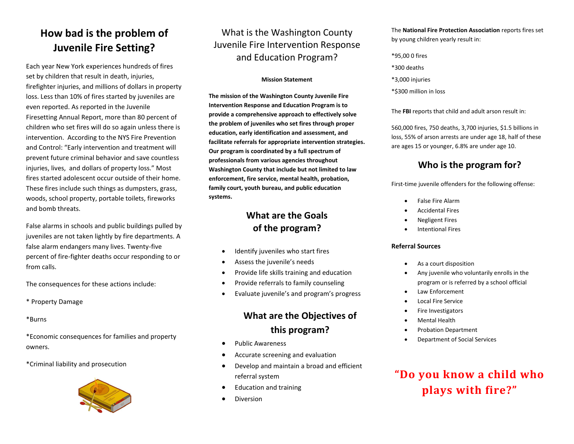## **How bad is the problem of Juvenile Fire Setting?**

Each year New York experiences hundreds of fires set by children that result in death, injuries, firefighter injuries, and millions of dollars in property loss. Less than 10% of fires started by juveniles are even reported. As reported in the Juvenile Firesetting Annual Report, more than 80 percent of children who set fires will do so again unless there is intervention. According to the NYS Fire Prevention and Control: "Early intervention and treatment will prevent future criminal behavior and save countless injuries, lives, and dollars of property loss." Most fires started adolescent occur outside of their home. These fires include such things as dumpsters, grass, woods, school property, portable toilets, fireworks and bomb threats.

False alarms in schools and public buildings pulled by juveniles are not taken lightly by fire departments. A false alarm endangers many lives. Twenty-five percent of fire-fighter deaths occur responding to or from calls.

The consequences for these actions include:

\* Property Damage

\*Burns

\*Economic consequences for families and property owners.

\*Criminal liability and prosecution



## What is the Washington County Juvenile Fire Intervention Response and Education Program?

#### **Mission Statement**

**The mission of the Washington County Juvenile Fire Intervention Response and Education Program is to provide a comprehensive approach to effectively solve the problem of juveniles who set fires through proper education, early identification and assessment, and facilitate referrals for appropriate intervention strategies. Our program is coordinated by a full spectrum of professionals from various agencies throughout Washington County that include but not limited to law enforcement, fire service, mental health, probation, family court, youth bureau, and public education systems.**

### **What are the Goals of the program?**

- Identify juveniles who start fires
- Assess the juvenile's needs
- Provide life skills training and education
- Provide referrals to family counseling
- Evaluate juvenile's and program's progress

### **What are the Objectives of this program?**

- Public Awareness
- Accurate screening and evaluation
- Develop and maintain a broad and efficient referral system
- Education and training
- **•** Diversion

The **National Fire Protection Association** reports fires set by young children yearly result in:

- \*95,00 0 fires
- \*300 deaths
- \*3,000 injuries
- \*\$300 million in loss

The **FBI** reports that child and adult arson result in:

560,000 fires, 750 deaths, 3,700 injuries, \$1.5 billions in loss, 55% of arson arrests are under age 18, half of these are ages 15 or younger, 6.8% are under age 10.

## **Who is the program for?**

First-time juvenile offenders for the following offense:

- False Fire Alarm
- Accidental Fires
- Negligent Fires
- Intentional Fires

#### **Referral Sources**

- As a court disposition
- Any juvenile who voluntarily enrolls in the program or is referred by a school official
- Law Enforcement
- Local Fire Service
- Fire Investigators
- Mental Health
- Probation Department
- Department of Social Services

## **"Do you know a child who plays with fire?"**